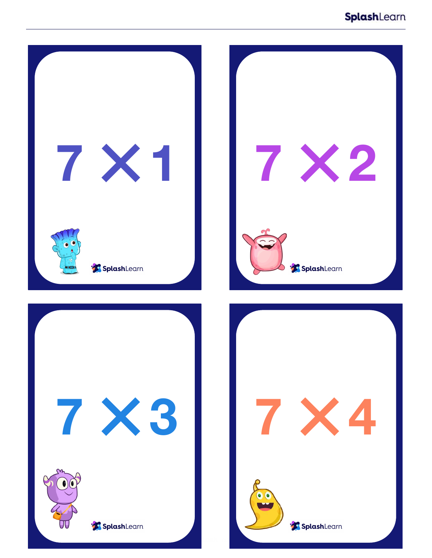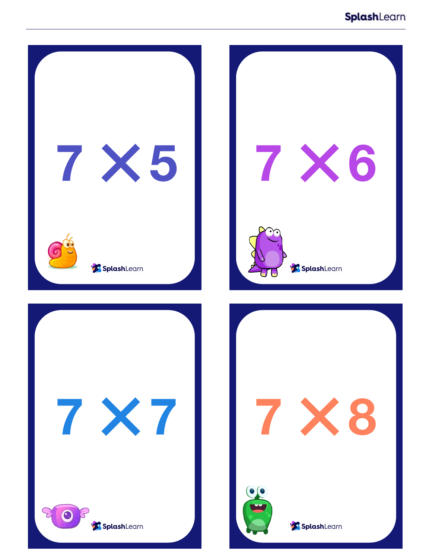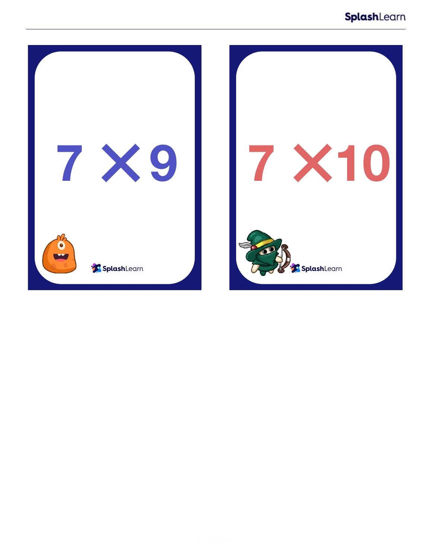![](_page_2_Picture_1.jpeg)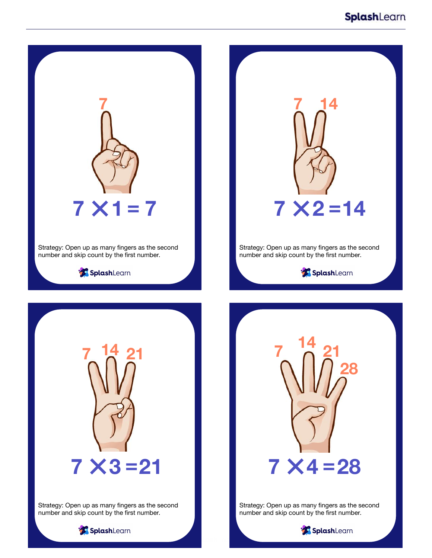![](_page_3_Picture_1.jpeg)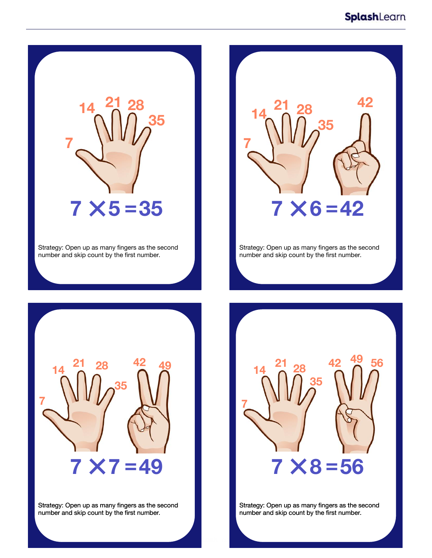![](_page_4_Picture_1.jpeg)

Strategy: Open up as many fingers as the second number and skip count by the first number.

![](_page_4_Picture_3.jpeg)

Strategy: Open up as many fingers as the second number and skip count by the first number.

![](_page_4_Picture_5.jpeg)

Strategy: Open up as many fingers as the second number and skip count by the first number.

![](_page_4_Picture_7.jpeg)

Strategy: Open up as many fingers as the second number and skip count by the first number.